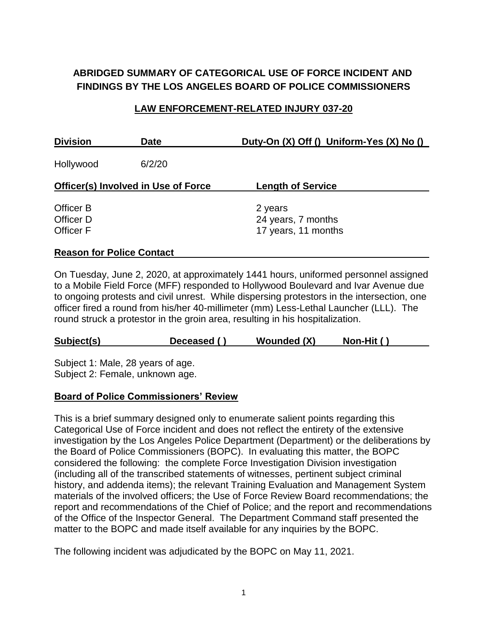# **ABRIDGED SUMMARY OF CATEGORICAL USE OF FORCE INCIDENT AND FINDINGS BY THE LOS ANGELES BOARD OF POLICE COMMISSIONERS**

#### **LAW ENFORCEMENT-RELATED INJURY 037-20**

| <b>Division</b>                            | <b>Date</b> | Duty-On (X) Off () Uniform-Yes (X) No ()  |  |  |
|--------------------------------------------|-------------|-------------------------------------------|--|--|
| Hollywood                                  | 6/2/20      |                                           |  |  |
| <b>Officer(s) Involved in Use of Force</b> |             | <b>Length of Service</b>                  |  |  |
| Officer B                                  |             | 2 years                                   |  |  |
| Officer D<br><b>Officer F</b>              |             | 24 years, 7 months<br>17 years, 11 months |  |  |
|                                            |             |                                           |  |  |

#### **Reason for Police Contact**

On Tuesday, June 2, 2020, at approximately 1441 hours, uniformed personnel assigned to a Mobile Field Force (MFF) responded to Hollywood Boulevard and Ivar Avenue due to ongoing protests and civil unrest. While dispersing protestors in the intersection, one officer fired a round from his/her 40-millimeter (mm) Less-Lethal Launcher (LLL). The round struck a protestor in the groin area, resulting in his hospitalization.

| Wounded (X)<br>Subject(s)<br>Non-Hit ()<br>Deceased () |  |
|--------------------------------------------------------|--|
|--------------------------------------------------------|--|

Subject 1: Male, 28 years of age. Subject 2: Female, unknown age.

#### **Board of Police Commissioners' Review**

This is a brief summary designed only to enumerate salient points regarding this Categorical Use of Force incident and does not reflect the entirety of the extensive investigation by the Los Angeles Police Department (Department) or the deliberations by the Board of Police Commissioners (BOPC). In evaluating this matter, the BOPC considered the following: the complete Force Investigation Division investigation (including all of the transcribed statements of witnesses, pertinent subject criminal history, and addenda items); the relevant Training Evaluation and Management System materials of the involved officers; the Use of Force Review Board recommendations; the report and recommendations of the Chief of Police; and the report and recommendations of the Office of the Inspector General. The Department Command staff presented the matter to the BOPC and made itself available for any inquiries by the BOPC.

The following incident was adjudicated by the BOPC on May 11, 2021.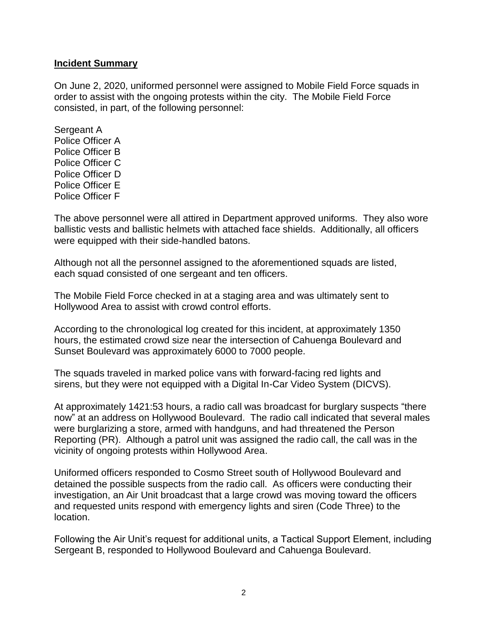#### **Incident Summary**

On June 2, 2020, uniformed personnel were assigned to Mobile Field Force squads in order to assist with the ongoing protests within the city. The Mobile Field Force consisted, in part, of the following personnel:

Sergeant A Police Officer A Police Officer B Police Officer C Police Officer D Police Officer E Police Officer F

The above personnel were all attired in Department approved uniforms. They also wore ballistic vests and ballistic helmets with attached face shields. Additionally, all officers were equipped with their side-handled batons.

Although not all the personnel assigned to the aforementioned squads are listed, each squad consisted of one sergeant and ten officers.

The Mobile Field Force checked in at a staging area and was ultimately sent to Hollywood Area to assist with crowd control efforts.

According to the chronological log created for this incident, at approximately 1350 hours, the estimated crowd size near the intersection of Cahuenga Boulevard and Sunset Boulevard was approximately 6000 to 7000 people.

The squads traveled in marked police vans with forward-facing red lights and sirens, but they were not equipped with a Digital In-Car Video System (DICVS).

At approximately 1421:53 hours, a radio call was broadcast for burglary suspects "there now" at an address on Hollywood Boulevard. The radio call indicated that several males were burglarizing a store, armed with handguns, and had threatened the Person Reporting (PR). Although a patrol unit was assigned the radio call, the call was in the vicinity of ongoing protests within Hollywood Area.

Uniformed officers responded to Cosmo Street south of Hollywood Boulevard and detained the possible suspects from the radio call. As officers were conducting their investigation, an Air Unit broadcast that a large crowd was moving toward the officers and requested units respond with emergency lights and siren (Code Three) to the location.

Following the Air Unit's request for additional units, a Tactical Support Element, including Sergeant B, responded to Hollywood Boulevard and Cahuenga Boulevard.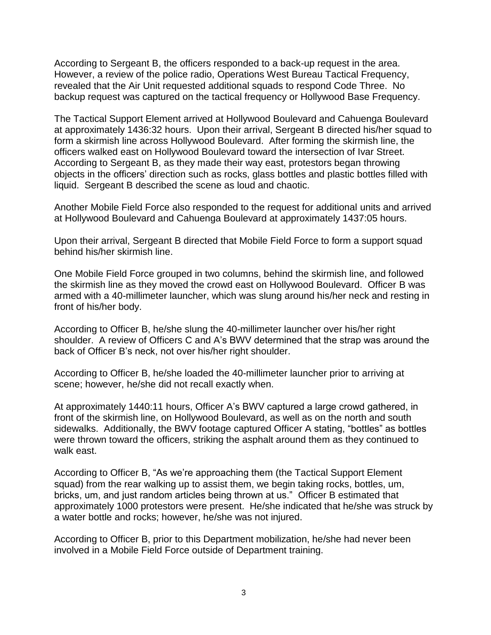According to Sergeant B, the officers responded to a back-up request in the area. However, a review of the police radio, Operations West Bureau Tactical Frequency, revealed that the Air Unit requested additional squads to respond Code Three. No backup request was captured on the tactical frequency or Hollywood Base Frequency.

The Tactical Support Element arrived at Hollywood Boulevard and Cahuenga Boulevard at approximately 1436:32 hours. Upon their arrival, Sergeant B directed his/her squad to form a skirmish line across Hollywood Boulevard. After forming the skirmish line, the officers walked east on Hollywood Boulevard toward the intersection of Ivar Street. According to Sergeant B, as they made their way east, protestors began throwing objects in the officers' direction such as rocks, glass bottles and plastic bottles filled with liquid. Sergeant B described the scene as loud and chaotic.

Another Mobile Field Force also responded to the request for additional units and arrived at Hollywood Boulevard and Cahuenga Boulevard at approximately 1437:05 hours.

Upon their arrival, Sergeant B directed that Mobile Field Force to form a support squad behind his/her skirmish line.

One Mobile Field Force grouped in two columns, behind the skirmish line, and followed the skirmish line as they moved the crowd east on Hollywood Boulevard. Officer B was armed with a 40-millimeter launcher, which was slung around his/her neck and resting in front of his/her body.

According to Officer B, he/she slung the 40-millimeter launcher over his/her right shoulder. A review of Officers C and A's BWV determined that the strap was around the back of Officer B's neck, not over his/her right shoulder.

According to Officer B, he/she loaded the 40-millimeter launcher prior to arriving at scene; however, he/she did not recall exactly when.

At approximately 1440:11 hours, Officer A's BWV captured a large crowd gathered, in front of the skirmish line, on Hollywood Boulevard, as well as on the north and south sidewalks. Additionally, the BWV footage captured Officer A stating, "bottles" as bottles were thrown toward the officers, striking the asphalt around them as they continued to walk east.

According to Officer B, "As we're approaching them (the Tactical Support Element squad) from the rear walking up to assist them, we begin taking rocks, bottles, um, bricks, um, and just random articles being thrown at us." Officer B estimated that approximately 1000 protestors were present. He/she indicated that he/she was struck by a water bottle and rocks; however, he/she was not injured.

According to Officer B, prior to this Department mobilization, he/she had never been involved in a Mobile Field Force outside of Department training.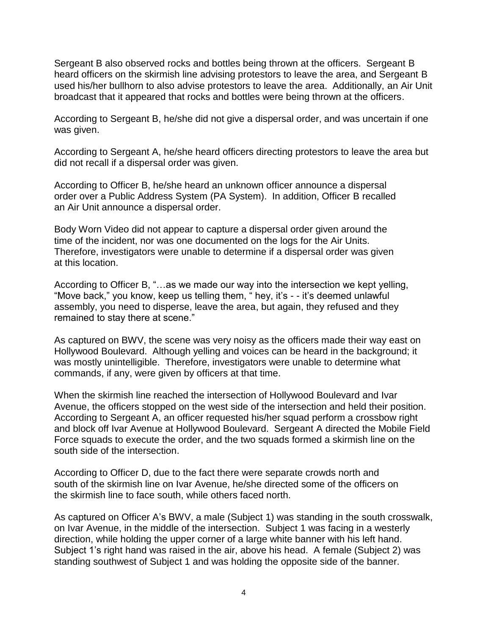Sergeant B also observed rocks and bottles being thrown at the officers. Sergeant B heard officers on the skirmish line advising protestors to leave the area, and Sergeant B used his/her bullhorn to also advise protestors to leave the area. Additionally, an Air Unit broadcast that it appeared that rocks and bottles were being thrown at the officers.

According to Sergeant B, he/she did not give a dispersal order, and was uncertain if one was given.

According to Sergeant A, he/she heard officers directing protestors to leave the area but did not recall if a dispersal order was given.

According to Officer B, he/she heard an unknown officer announce a dispersal order over a Public Address System (PA System). In addition, Officer B recalled an Air Unit announce a dispersal order.

Body Worn Video did not appear to capture a dispersal order given around the time of the incident, nor was one documented on the logs for the Air Units. Therefore, investigators were unable to determine if a dispersal order was given at this location.

According to Officer B, "…as we made our way into the intersection we kept yelling, "Move back," you know, keep us telling them, " hey, it's - - it's deemed unlawful assembly, you need to disperse, leave the area, but again, they refused and they remained to stay there at scene."

As captured on BWV, the scene was very noisy as the officers made their way east on Hollywood Boulevard. Although yelling and voices can be heard in the background; it was mostly unintelligible. Therefore, investigators were unable to determine what commands, if any, were given by officers at that time.

When the skirmish line reached the intersection of Hollywood Boulevard and Ivar Avenue, the officers stopped on the west side of the intersection and held their position. According to Sergeant A, an officer requested his/her squad perform a crossbow right and block off Ivar Avenue at Hollywood Boulevard. Sergeant A directed the Mobile Field Force squads to execute the order, and the two squads formed a skirmish line on the south side of the intersection.

According to Officer D, due to the fact there were separate crowds north and south of the skirmish line on Ivar Avenue, he/she directed some of the officers on the skirmish line to face south, while others faced north.

As captured on Officer A's BWV, a male (Subject 1) was standing in the south crosswalk, on Ivar Avenue, in the middle of the intersection. Subject 1 was facing in a westerly direction, while holding the upper corner of a large white banner with his left hand. Subject 1's right hand was raised in the air, above his head. A female (Subject 2) was standing southwest of Subject 1 and was holding the opposite side of the banner.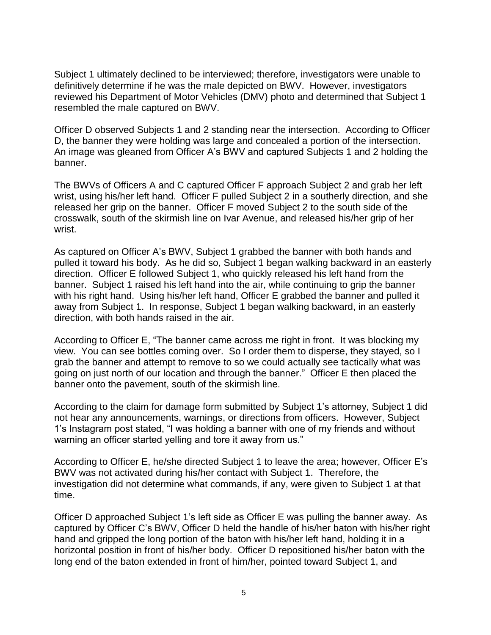Subject 1 ultimately declined to be interviewed; therefore, investigators were unable to definitively determine if he was the male depicted on BWV. However, investigators reviewed his Department of Motor Vehicles (DMV) photo and determined that Subject 1 resembled the male captured on BWV.

Officer D observed Subjects 1 and 2 standing near the intersection. According to Officer D, the banner they were holding was large and concealed a portion of the intersection. An image was gleaned from Officer A's BWV and captured Subjects 1 and 2 holding the banner.

The BWVs of Officers A and C captured Officer F approach Subject 2 and grab her left wrist, using his/her left hand. Officer F pulled Subject 2 in a southerly direction, and she released her grip on the banner. Officer F moved Subject 2 to the south side of the crosswalk, south of the skirmish line on Ivar Avenue, and released his/her grip of her wrist.

As captured on Officer A's BWV, Subject 1 grabbed the banner with both hands and pulled it toward his body. As he did so, Subject 1 began walking backward in an easterly direction. Officer E followed Subject 1, who quickly released his left hand from the banner. Subject 1 raised his left hand into the air, while continuing to grip the banner with his right hand. Using his/her left hand, Officer E grabbed the banner and pulled it away from Subject 1. In response, Subject 1 began walking backward, in an easterly direction, with both hands raised in the air.

According to Officer E, "The banner came across me right in front. It was blocking my view. You can see bottles coming over. So I order them to disperse, they stayed, so I grab the banner and attempt to remove to so we could actually see tactically what was going on just north of our location and through the banner." Officer E then placed the banner onto the pavement, south of the skirmish line.

According to the claim for damage form submitted by Subject 1's attorney, Subject 1 did not hear any announcements, warnings, or directions from officers. However, Subject 1's Instagram post stated, "I was holding a banner with one of my friends and without warning an officer started yelling and tore it away from us."

According to Officer E, he/she directed Subject 1 to leave the area; however, Officer E's BWV was not activated during his/her contact with Subject 1. Therefore, the investigation did not determine what commands, if any, were given to Subject 1 at that time.

Officer D approached Subject 1's left side as Officer E was pulling the banner away. As captured by Officer C's BWV, Officer D held the handle of his/her baton with his/her right hand and gripped the long portion of the baton with his/her left hand, holding it in a horizontal position in front of his/her body. Officer D repositioned his/her baton with the long end of the baton extended in front of him/her, pointed toward Subject 1, and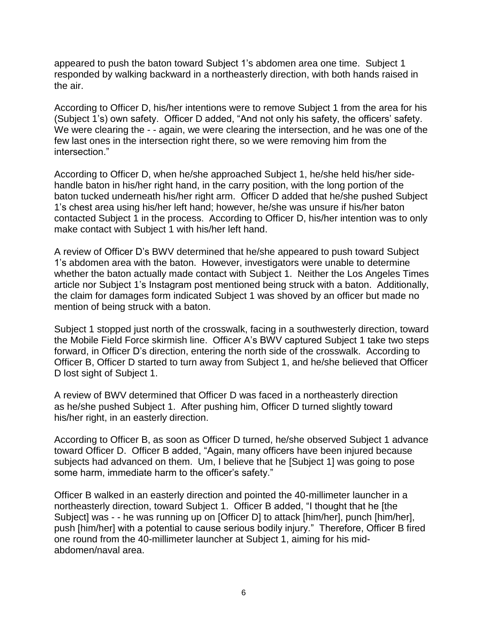appeared to push the baton toward Subject 1's abdomen area one time. Subject 1 responded by walking backward in a northeasterly direction, with both hands raised in the air.

According to Officer D, his/her intentions were to remove Subject 1 from the area for his (Subject 1's) own safety. Officer D added, "And not only his safety, the officers' safety. We were clearing the - - again, we were clearing the intersection, and he was one of the few last ones in the intersection right there, so we were removing him from the intersection."

According to Officer D, when he/she approached Subject 1, he/she held his/her sidehandle baton in his/her right hand, in the carry position, with the long portion of the baton tucked underneath his/her right arm. Officer D added that he/she pushed Subject 1's chest area using his/her left hand; however, he/she was unsure if his/her baton contacted Subject 1 in the process. According to Officer D, his/her intention was to only make contact with Subject 1 with his/her left hand.

A review of Officer D's BWV determined that he/she appeared to push toward Subject 1's abdomen area with the baton. However, investigators were unable to determine whether the baton actually made contact with Subject 1. Neither the Los Angeles Times article nor Subject 1's Instagram post mentioned being struck with a baton. Additionally, the claim for damages form indicated Subject 1 was shoved by an officer but made no mention of being struck with a baton.

Subject 1 stopped just north of the crosswalk, facing in a southwesterly direction, toward the Mobile Field Force skirmish line. Officer A's BWV captured Subject 1 take two steps forward, in Officer D's direction, entering the north side of the crosswalk. According to Officer B, Officer D started to turn away from Subject 1, and he/she believed that Officer D lost sight of Subject 1.

A review of BWV determined that Officer D was faced in a northeasterly direction as he/she pushed Subject 1. After pushing him, Officer D turned slightly toward his/her right, in an easterly direction.

According to Officer B, as soon as Officer D turned, he/she observed Subject 1 advance toward Officer D. Officer B added, "Again, many officers have been injured because subjects had advanced on them. Um, I believe that he [Subject 1] was going to pose some harm, immediate harm to the officer's safety."

Officer B walked in an easterly direction and pointed the 40-millimeter launcher in a northeasterly direction, toward Subject 1. Officer B added, "I thought that he [the Subject] was - - he was running up on [Officer D] to attack [him/her], punch [him/her], push [him/her] with a potential to cause serious bodily injury." Therefore, Officer B fired one round from the 40-millimeter launcher at Subject 1, aiming for his midabdomen/naval area.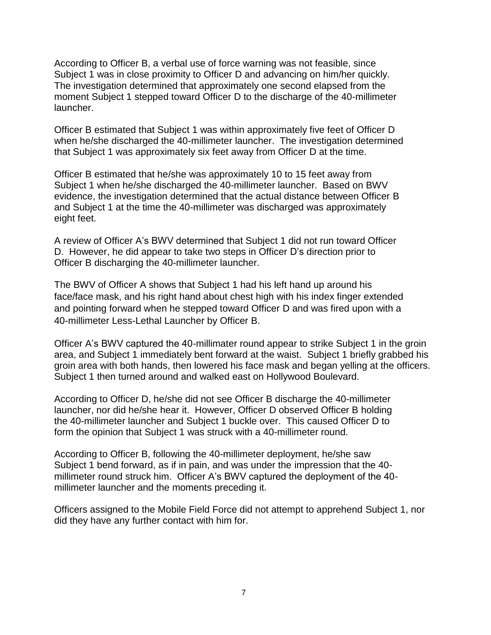According to Officer B, a verbal use of force warning was not feasible, since Subject 1 was in close proximity to Officer D and advancing on him/her quickly. The investigation determined that approximately one second elapsed from the moment Subject 1 stepped toward Officer D to the discharge of the 40-millimeter launcher.

Officer B estimated that Subject 1 was within approximately five feet of Officer D when he/she discharged the 40-millimeter launcher. The investigation determined that Subject 1 was approximately six feet away from Officer D at the time.

Officer B estimated that he/she was approximately 10 to 15 feet away from Subject 1 when he/she discharged the 40-millimeter launcher. Based on BWV evidence, the investigation determined that the actual distance between Officer B and Subject 1 at the time the 40-millimeter was discharged was approximately eight feet.

A review of Officer A's BWV determined that Subject 1 did not run toward Officer D. However, he did appear to take two steps in Officer D's direction prior to Officer B discharging the 40-millimeter launcher.

The BWV of Officer A shows that Subject 1 had his left hand up around his face/face mask, and his right hand about chest high with his index finger extended and pointing forward when he stepped toward Officer D and was fired upon with a 40-millimeter Less-Lethal Launcher by Officer B.

Officer A's BWV captured the 40-millimater round appear to strike Subject 1 in the groin area, and Subject 1 immediately bent forward at the waist. Subject 1 briefly grabbed his groin area with both hands, then lowered his face mask and began yelling at the officers. Subject 1 then turned around and walked east on Hollywood Boulevard.

According to Officer D, he/she did not see Officer B discharge the 40-millimeter launcher, nor did he/she hear it. However, Officer D observed Officer B holding the 40-millimeter launcher and Subject 1 buckle over. This caused Officer D to form the opinion that Subject 1 was struck with a 40-millimeter round.

According to Officer B, following the 40-millimeter deployment, he/she saw Subject 1 bend forward, as if in pain, and was under the impression that the 40 millimeter round struck him. Officer A's BWV captured the deployment of the 40 millimeter launcher and the moments preceding it.

Officers assigned to the Mobile Field Force did not attempt to apprehend Subject 1, nor did they have any further contact with him for.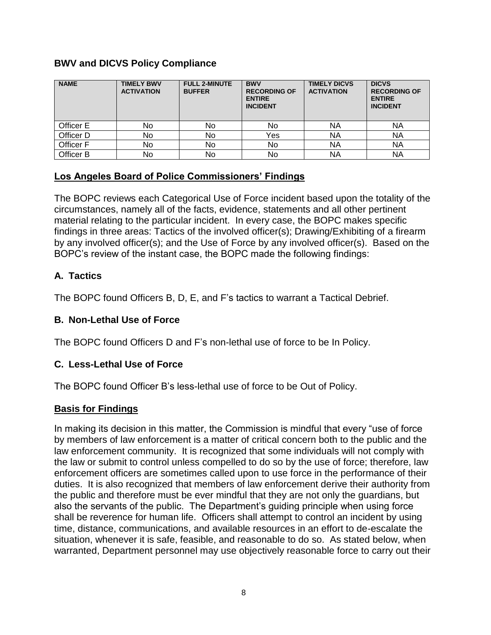## **BWV and DICVS Policy Compliance**

| <b>NAME</b> | <b>TIMELY BWV</b><br><b>ACTIVATION</b> | <b>FULL 2-MINUTE</b><br><b>BUFFER</b> | <b>BWV</b><br><b>RECORDING OF</b><br><b>ENTIRE</b><br><b>INCIDENT</b> | <b>TIMELY DICVS</b><br><b>ACTIVATION</b> | <b>DICVS</b><br><b>RECORDING OF</b><br><b>ENTIRE</b><br><b>INCIDENT</b> |
|-------------|----------------------------------------|---------------------------------------|-----------------------------------------------------------------------|------------------------------------------|-------------------------------------------------------------------------|
| Officer E   | No                                     | No.                                   | No                                                                    | ΝA                                       | ΝA                                                                      |
| Officer D   | No                                     | No                                    | Yes                                                                   | NA                                       | NA                                                                      |
| Officer F   | No                                     | No                                    | No                                                                    | <b>NA</b>                                | <b>NA</b>                                                               |
| Officer B   | No                                     | No                                    | No                                                                    | NA                                       | ΝA                                                                      |

## **Los Angeles Board of Police Commissioners' Findings**

The BOPC reviews each Categorical Use of Force incident based upon the totality of the circumstances, namely all of the facts, evidence, statements and all other pertinent material relating to the particular incident. In every case, the BOPC makes specific findings in three areas: Tactics of the involved officer(s); Drawing/Exhibiting of a firearm by any involved officer(s); and the Use of Force by any involved officer(s). Based on the BOPC's review of the instant case, the BOPC made the following findings:

## **A. Tactics**

The BOPC found Officers B, D, E, and F's tactics to warrant a Tactical Debrief.

## **B. Non-Lethal Use of Force**

The BOPC found Officers D and F's non-lethal use of force to be In Policy.

## **C. Less-Lethal Use of Force**

The BOPC found Officer B's less-lethal use of force to be Out of Policy.

# **Basis for Findings**

In making its decision in this matter, the Commission is mindful that every "use of force by members of law enforcement is a matter of critical concern both to the public and the law enforcement community. It is recognized that some individuals will not comply with the law or submit to control unless compelled to do so by the use of force; therefore, law enforcement officers are sometimes called upon to use force in the performance of their duties. It is also recognized that members of law enforcement derive their authority from the public and therefore must be ever mindful that they are not only the guardians, but also the servants of the public. The Department's guiding principle when using force shall be reverence for human life. Officers shall attempt to control an incident by using time, distance, communications, and available resources in an effort to de-escalate the situation, whenever it is safe, feasible, and reasonable to do so. As stated below, when warranted, Department personnel may use objectively reasonable force to carry out their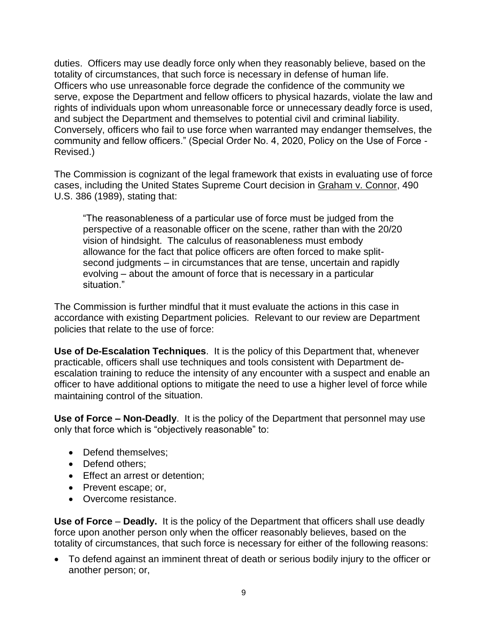duties. Officers may use deadly force only when they reasonably believe, based on the totality of circumstances, that such force is necessary in defense of human life. Officers who use unreasonable force degrade the confidence of the community we serve, expose the Department and fellow officers to physical hazards, violate the law and rights of individuals upon whom unreasonable force or unnecessary deadly force is used, and subject the Department and themselves to potential civil and criminal liability. Conversely, officers who fail to use force when warranted may endanger themselves, the community and fellow officers." (Special Order No. 4, 2020, Policy on the Use of Force - Revised.)

The Commission is cognizant of the legal framework that exists in evaluating use of force cases, including the United States Supreme Court decision in Graham v. Connor, 490 U.S. 386 (1989), stating that:

"The reasonableness of a particular use of force must be judged from the perspective of a reasonable officer on the scene, rather than with the 20/20 vision of hindsight. The calculus of reasonableness must embody allowance for the fact that police officers are often forced to make splitsecond judgments – in circumstances that are tense, uncertain and rapidly evolving – about the amount of force that is necessary in a particular situation."

The Commission is further mindful that it must evaluate the actions in this case in accordance with existing Department policies. Relevant to our review are Department policies that relate to the use of force:

**Use of De-Escalation Techniques**. It is the policy of this Department that, whenever practicable, officers shall use techniques and tools consistent with Department deescalation training to reduce the intensity of any encounter with a suspect and enable an officer to have additional options to mitigate the need to use a higher level of force while maintaining control of the situation.

**Use of Force – Non-Deadly**. It is the policy of the Department that personnel may use only that force which is "objectively reasonable" to:

- Defend themselves:
- Defend others:
- Effect an arrest or detention;
- Prevent escape; or,
- Overcome resistance.

**Use of Force** – **Deadly.** It is the policy of the Department that officers shall use deadly force upon another person only when the officer reasonably believes, based on the totality of circumstances, that such force is necessary for either of the following reasons:

• To defend against an imminent threat of death or serious bodily injury to the officer or another person; or,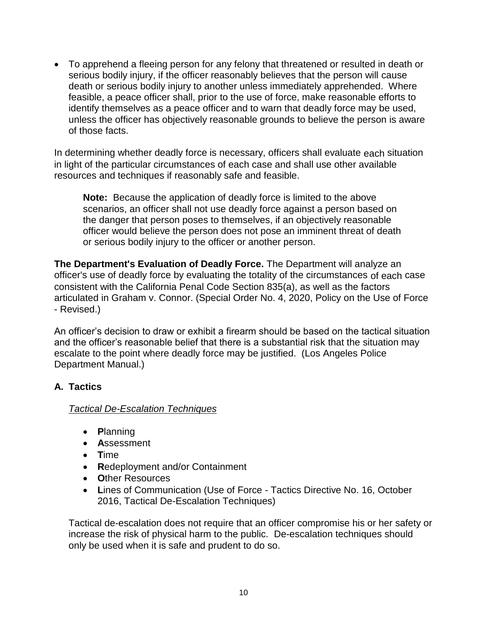• To apprehend a fleeing person for any felony that threatened or resulted in death or serious bodily injury, if the officer reasonably believes that the person will cause death or serious bodily injury to another unless immediately apprehended. Where feasible, a peace officer shall, prior to the use of force, make reasonable efforts to identify themselves as a peace officer and to warn that deadly force may be used, unless the officer has objectively reasonable grounds to believe the person is aware of those facts.

In determining whether deadly force is necessary, officers shall evaluate each situation in light of the particular circumstances of each case and shall use other available resources and techniques if reasonably safe and feasible.

**Note:** Because the application of deadly force is limited to the above scenarios, an officer shall not use deadly force against a person based on the danger that person poses to themselves, if an objectively reasonable officer would believe the person does not pose an imminent threat of death or serious bodily injury to the officer or another person.

**The Department's Evaluation of Deadly Force.** The Department will analyze an officer's use of deadly force by evaluating the totality of the circumstances of each case consistent with the California Penal Code Section 835(a), as well as the factors articulated in Graham v. Connor. (Special Order No. 4, 2020, Policy on the Use of Force - Revised.)

An officer's decision to draw or exhibit a firearm should be based on the tactical situation and the officer's reasonable belief that there is a substantial risk that the situation may escalate to the point where deadly force may be justified. (Los Angeles Police Department Manual.)

## **A. Tactics**

## *Tactical De-Escalation Techniques*

- **P**lanning
- **A**ssessment
- **T**ime
- **R**edeployment and/or Containment
- **O**ther Resources
- **L**ines of Communication (Use of Force Tactics Directive No. 16, October 2016, Tactical De-Escalation Techniques)

Tactical de-escalation does not require that an officer compromise his or her safety or increase the risk of physical harm to the public. De-escalation techniques should only be used when it is safe and prudent to do so.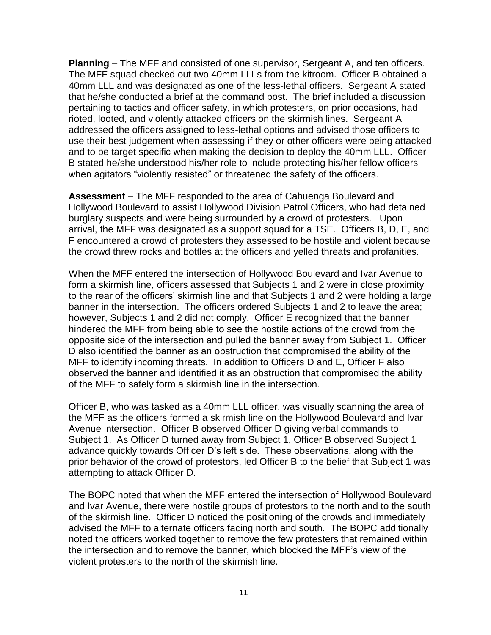**Planning** – The MFF and consisted of one supervisor, Sergeant A, and ten officers. The MFF squad checked out two 40mm LLLs from the kitroom. Officer B obtained a 40mm LLL and was designated as one of the less-lethal officers. Sergeant A stated that he/she conducted a brief at the command post. The brief included a discussion pertaining to tactics and officer safety, in which protesters, on prior occasions, had rioted, looted, and violently attacked officers on the skirmish lines. Sergeant A addressed the officers assigned to less-lethal options and advised those officers to use their best judgement when assessing if they or other officers were being attacked and to be target specific when making the decision to deploy the 40mm LLL. Officer B stated he/she understood his/her role to include protecting his/her fellow officers when agitators "violently resisted" or threatened the safety of the officers.

**Assessment** – The MFF responded to the area of Cahuenga Boulevard and Hollywood Boulevard to assist Hollywood Division Patrol Officers, who had detained burglary suspects and were being surrounded by a crowd of protesters. Upon arrival, the MFF was designated as a support squad for a TSE. Officers B, D, E, and F encountered a crowd of protesters they assessed to be hostile and violent because the crowd threw rocks and bottles at the officers and yelled threats and profanities.

When the MFF entered the intersection of Hollywood Boulevard and Ivar Avenue to form a skirmish line, officers assessed that Subjects 1 and 2 were in close proximity to the rear of the officers' skirmish line and that Subjects 1 and 2 were holding a large banner in the intersection. The officers ordered Subjects 1 and 2 to leave the area; however, Subjects 1 and 2 did not comply. Officer E recognized that the banner hindered the MFF from being able to see the hostile actions of the crowd from the opposite side of the intersection and pulled the banner away from Subject 1. Officer D also identified the banner as an obstruction that compromised the ability of the MFF to identify incoming threats. In addition to Officers D and E, Officer F also observed the banner and identified it as an obstruction that compromised the ability of the MFF to safely form a skirmish line in the intersection.

Officer B, who was tasked as a 40mm LLL officer, was visually scanning the area of the MFF as the officers formed a skirmish line on the Hollywood Boulevard and Ivar Avenue intersection. Officer B observed Officer D giving verbal commands to Subject 1. As Officer D turned away from Subject 1, Officer B observed Subject 1 advance quickly towards Officer D's left side. These observations, along with the prior behavior of the crowd of protestors, led Officer B to the belief that Subject 1 was attempting to attack Officer D.

The BOPC noted that when the MFF entered the intersection of Hollywood Boulevard and Ivar Avenue, there were hostile groups of protestors to the north and to the south of the skirmish line. Officer D noticed the positioning of the crowds and immediately advised the MFF to alternate officers facing north and south. The BOPC additionally noted the officers worked together to remove the few protesters that remained within the intersection and to remove the banner, which blocked the MFF's view of the violent protesters to the north of the skirmish line.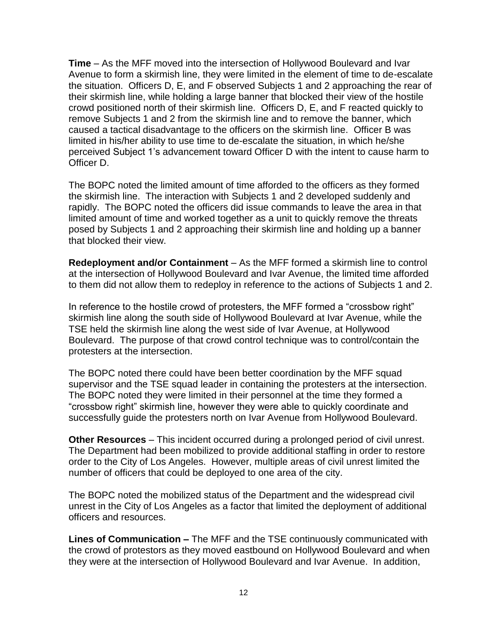**Time** – As the MFF moved into the intersection of Hollywood Boulevard and Ivar Avenue to form a skirmish line, they were limited in the element of time to de-escalate the situation. Officers D, E, and F observed Subjects 1 and 2 approaching the rear of their skirmish line, while holding a large banner that blocked their view of the hostile crowd positioned north of their skirmish line. Officers D, E, and F reacted quickly to remove Subjects 1 and 2 from the skirmish line and to remove the banner, which caused a tactical disadvantage to the officers on the skirmish line. Officer B was limited in his/her ability to use time to de-escalate the situation, in which he/she perceived Subject 1's advancement toward Officer D with the intent to cause harm to Officer D.

The BOPC noted the limited amount of time afforded to the officers as they formed the skirmish line. The interaction with Subjects 1 and 2 developed suddenly and rapidly. The BOPC noted the officers did issue commands to leave the area in that limited amount of time and worked together as a unit to quickly remove the threats posed by Subjects 1 and 2 approaching their skirmish line and holding up a banner that blocked their view.

**Redeployment and/or Containment** – As the MFF formed a skirmish line to control at the intersection of Hollywood Boulevard and Ivar Avenue, the limited time afforded to them did not allow them to redeploy in reference to the actions of Subjects 1 and 2.

In reference to the hostile crowd of protesters, the MFF formed a "crossbow right" skirmish line along the south side of Hollywood Boulevard at Ivar Avenue, while the TSE held the skirmish line along the west side of Ivar Avenue, at Hollywood Boulevard. The purpose of that crowd control technique was to control/contain the protesters at the intersection.

The BOPC noted there could have been better coordination by the MFF squad supervisor and the TSE squad leader in containing the protesters at the intersection. The BOPC noted they were limited in their personnel at the time they formed a "crossbow right" skirmish line, however they were able to quickly coordinate and successfully guide the protesters north on Ivar Avenue from Hollywood Boulevard.

**Other Resources** – This incident occurred during a prolonged period of civil unrest. The Department had been mobilized to provide additional staffing in order to restore order to the City of Los Angeles. However, multiple areas of civil unrest limited the number of officers that could be deployed to one area of the city.

The BOPC noted the mobilized status of the Department and the widespread civil unrest in the City of Los Angeles as a factor that limited the deployment of additional officers and resources.

**Lines of Communication –** The MFF and the TSE continuously communicated with the crowd of protestors as they moved eastbound on Hollywood Boulevard and when they were at the intersection of Hollywood Boulevard and Ivar Avenue. In addition,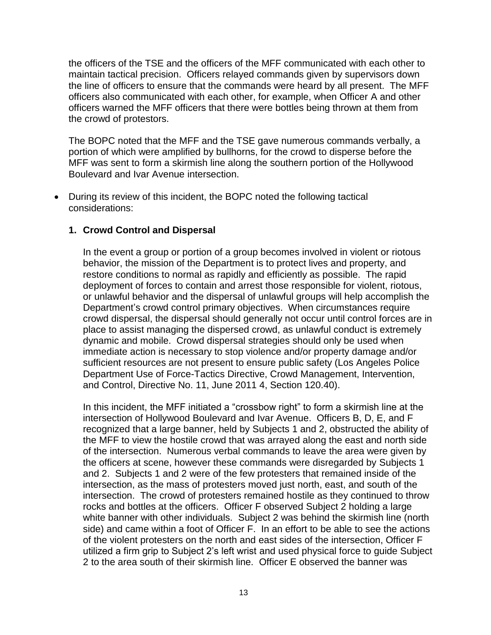the officers of the TSE and the officers of the MFF communicated with each other to maintain tactical precision. Officers relayed commands given by supervisors down the line of officers to ensure that the commands were heard by all present. The MFF officers also communicated with each other, for example, when Officer A and other officers warned the MFF officers that there were bottles being thrown at them from the crowd of protestors.

The BOPC noted that the MFF and the TSE gave numerous commands verbally, a portion of which were amplified by bullhorns, for the crowd to disperse before the MFF was sent to form a skirmish line along the southern portion of the Hollywood Boulevard and Ivar Avenue intersection.

• During its review of this incident, the BOPC noted the following tactical considerations:

# **1. Crowd Control and Dispersal**

In the event a group or portion of a group becomes involved in violent or riotous behavior, the mission of the Department is to protect lives and property, and restore conditions to normal as rapidly and efficiently as possible. The rapid deployment of forces to contain and arrest those responsible for violent, riotous, or unlawful behavior and the dispersal of unlawful groups will help accomplish the Department's crowd control primary objectives. When circumstances require crowd dispersal, the dispersal should generally not occur until control forces are in place to assist managing the dispersed crowd, as unlawful conduct is extremely dynamic and mobile. Crowd dispersal strategies should only be used when immediate action is necessary to stop violence and/or property damage and/or sufficient resources are not present to ensure public safety (Los Angeles Police Department Use of Force-Tactics Directive, Crowd Management, Intervention, and Control, Directive No. 11, June 2011 4, Section 120.40).

In this incident, the MFF initiated a "crossbow right" to form a skirmish line at the intersection of Hollywood Boulevard and Ivar Avenue. Officers B, D, E, and F recognized that a large banner, held by Subjects 1 and 2, obstructed the ability of the MFF to view the hostile crowd that was arrayed along the east and north side of the intersection. Numerous verbal commands to leave the area were given by the officers at scene, however these commands were disregarded by Subjects 1 and 2. Subjects 1 and 2 were of the few protesters that remained inside of the intersection, as the mass of protesters moved just north, east, and south of the intersection. The crowd of protesters remained hostile as they continued to throw rocks and bottles at the officers. Officer F observed Subject 2 holding a large white banner with other individuals. Subject 2 was behind the skirmish line (north side) and came within a foot of Officer F. In an effort to be able to see the actions of the violent protesters on the north and east sides of the intersection, Officer F utilized a firm grip to Subject 2's left wrist and used physical force to guide Subject 2 to the area south of their skirmish line. Officer E observed the banner was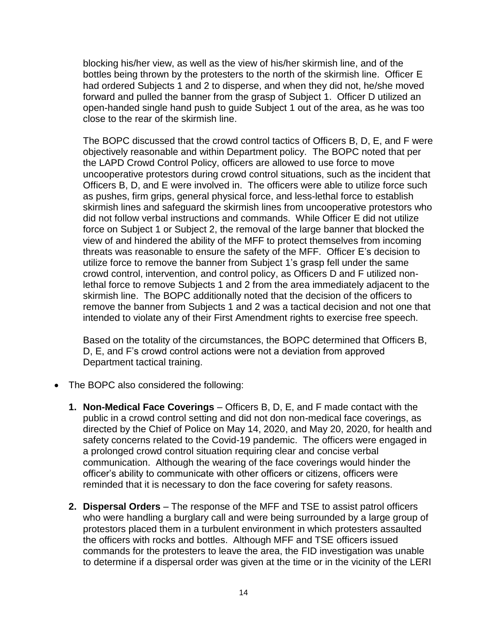blocking his/her view, as well as the view of his/her skirmish line, and of the bottles being thrown by the protesters to the north of the skirmish line. Officer E had ordered Subjects 1 and 2 to disperse, and when they did not, he/she moved forward and pulled the banner from the grasp of Subject 1. Officer D utilized an open-handed single hand push to guide Subject 1 out of the area, as he was too close to the rear of the skirmish line.

The BOPC discussed that the crowd control tactics of Officers B, D, E, and F were objectively reasonable and within Department policy. The BOPC noted that per the LAPD Crowd Control Policy, officers are allowed to use force to move uncooperative protestors during crowd control situations, such as the incident that Officers B, D, and E were involved in. The officers were able to utilize force such as pushes, firm grips, general physical force, and less-lethal force to establish skirmish lines and safeguard the skirmish lines from uncooperative protestors who did not follow verbal instructions and commands. While Officer E did not utilize force on Subject 1 or Subject 2, the removal of the large banner that blocked the view of and hindered the ability of the MFF to protect themselves from incoming threats was reasonable to ensure the safety of the MFF. Officer E's decision to utilize force to remove the banner from Subject 1's grasp fell under the same crowd control, intervention, and control policy, as Officers D and F utilized nonlethal force to remove Subjects 1 and 2 from the area immediately adjacent to the skirmish line. The BOPC additionally noted that the decision of the officers to remove the banner from Subjects 1 and 2 was a tactical decision and not one that intended to violate any of their First Amendment rights to exercise free speech.

Based on the totality of the circumstances, the BOPC determined that Officers B, D, E, and F's crowd control actions were not a deviation from approved Department tactical training.

- The BOPC also considered the following:
	- **1. Non-Medical Face Coverings** Officers B, D, E, and F made contact with the public in a crowd control setting and did not don non-medical face coverings, as directed by the Chief of Police on May 14, 2020, and May 20, 2020, for health and safety concerns related to the Covid-19 pandemic. The officers were engaged in a prolonged crowd control situation requiring clear and concise verbal communication. Although the wearing of the face coverings would hinder the officer's ability to communicate with other officers or citizens, officers were reminded that it is necessary to don the face covering for safety reasons.
	- **2. Dispersal Orders**  The response of the MFF and TSE to assist patrol officers who were handling a burglary call and were being surrounded by a large group of protestors placed them in a turbulent environment in which protesters assaulted the officers with rocks and bottles. Although MFF and TSE officers issued commands for the protesters to leave the area, the FID investigation was unable to determine if a dispersal order was given at the time or in the vicinity of the LERI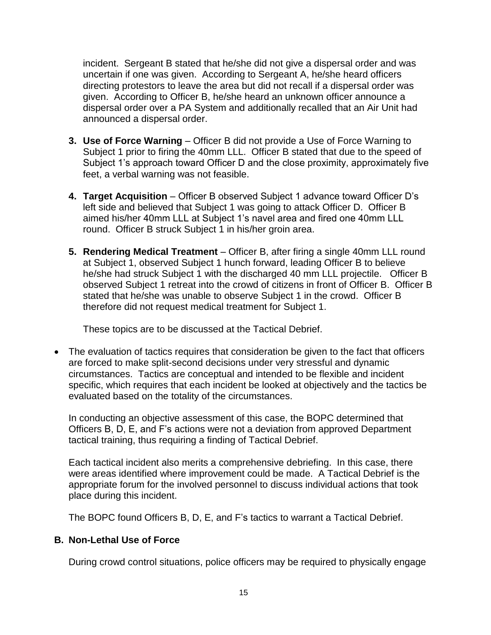incident. Sergeant B stated that he/she did not give a dispersal order and was uncertain if one was given. According to Sergeant A, he/she heard officers directing protestors to leave the area but did not recall if a dispersal order was given. According to Officer B, he/she heard an unknown officer announce a dispersal order over a PA System and additionally recalled that an Air Unit had announced a dispersal order.

- **3. Use of Force Warning** Officer B did not provide a Use of Force Warning to Subject 1 prior to firing the 40mm LLL. Officer B stated that due to the speed of Subject 1's approach toward Officer D and the close proximity, approximately five feet, a verbal warning was not feasible.
- **4. Target Acquisition** Officer B observed Subject 1 advance toward Officer D's left side and believed that Subject 1 was going to attack Officer D. Officer B aimed his/her 40mm LLL at Subject 1's navel area and fired one 40mm LLL round. Officer B struck Subject 1 in his/her groin area.
- **5. Rendering Medical Treatment** Officer B, after firing a single 40mm LLL round at Subject 1, observed Subject 1 hunch forward, leading Officer B to believe he/she had struck Subject 1 with the discharged 40 mm LLL projectile. Officer B observed Subject 1 retreat into the crowd of citizens in front of Officer B. Officer B stated that he/she was unable to observe Subject 1 in the crowd. Officer B therefore did not request medical treatment for Subject 1.

These topics are to be discussed at the Tactical Debrief.

• The evaluation of tactics requires that consideration be given to the fact that officers are forced to make split-second decisions under very stressful and dynamic circumstances. Tactics are conceptual and intended to be flexible and incident specific, which requires that each incident be looked at objectively and the tactics be evaluated based on the totality of the circumstances.

In conducting an objective assessment of this case, the BOPC determined that Officers B, D, E, and F's actions were not a deviation from approved Department tactical training, thus requiring a finding of Tactical Debrief.

Each tactical incident also merits a comprehensive debriefing. In this case, there were areas identified where improvement could be made. A Tactical Debrief is the appropriate forum for the involved personnel to discuss individual actions that took place during this incident.

The BOPC found Officers B, D, E, and F's tactics to warrant a Tactical Debrief.

# **B. Non-Lethal Use of Force**

During crowd control situations, police officers may be required to physically engage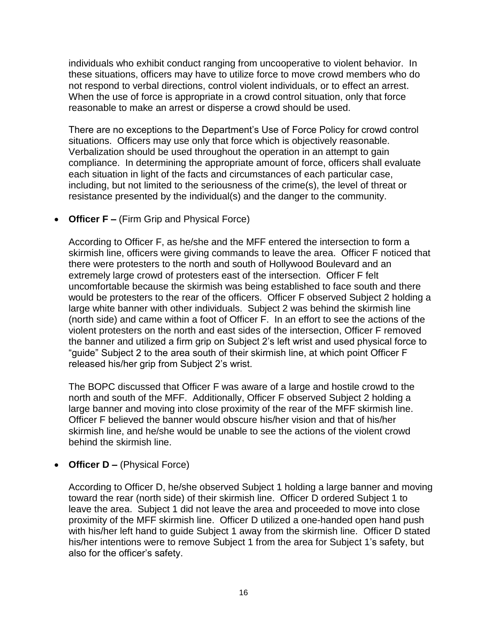individuals who exhibit conduct ranging from uncooperative to violent behavior. In these situations, officers may have to utilize force to move crowd members who do not respond to verbal directions, control violent individuals, or to effect an arrest. When the use of force is appropriate in a crowd control situation, only that force reasonable to make an arrest or disperse a crowd should be used.

There are no exceptions to the Department's Use of Force Policy for crowd control situations. Officers may use only that force which is objectively reasonable. Verbalization should be used throughout the operation in an attempt to gain compliance. In determining the appropriate amount of force, officers shall evaluate each situation in light of the facts and circumstances of each particular case, including, but not limited to the seriousness of the crime(s), the level of threat or resistance presented by the individual(s) and the danger to the community.

• **Officer F –** (Firm Grip and Physical Force)

According to Officer F, as he/she and the MFF entered the intersection to form a skirmish line, officers were giving commands to leave the area. Officer F noticed that there were protesters to the north and south of Hollywood Boulevard and an extremely large crowd of protesters east of the intersection. Officer F felt uncomfortable because the skirmish was being established to face south and there would be protesters to the rear of the officers. Officer F observed Subject 2 holding a large white banner with other individuals. Subject 2 was behind the skirmish line (north side) and came within a foot of Officer F. In an effort to see the actions of the violent protesters on the north and east sides of the intersection, Officer F removed the banner and utilized a firm grip on Subject 2's left wrist and used physical force to "guide" Subject 2 to the area south of their skirmish line, at which point Officer F released his/her grip from Subject 2's wrist.

The BOPC discussed that Officer F was aware of a large and hostile crowd to the north and south of the MFF. Additionally, Officer F observed Subject 2 holding a large banner and moving into close proximity of the rear of the MFF skirmish line. Officer F believed the banner would obscure his/her vision and that of his/her skirmish line, and he/she would be unable to see the actions of the violent crowd behind the skirmish line.

• **Officer D** – (Physical Force)

According to Officer D, he/she observed Subject 1 holding a large banner and moving toward the rear (north side) of their skirmish line. Officer D ordered Subject 1 to leave the area. Subject 1 did not leave the area and proceeded to move into close proximity of the MFF skirmish line. Officer D utilized a one-handed open hand push with his/her left hand to guide Subject 1 away from the skirmish line. Officer D stated his/her intentions were to remove Subject 1 from the area for Subject 1's safety, but also for the officer's safety.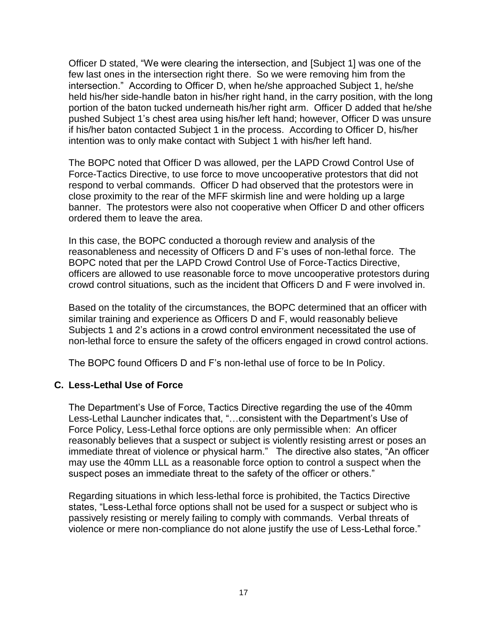Officer D stated, "We were clearing the intersection, and [Subject 1] was one of the few last ones in the intersection right there. So we were removing him from the intersection." According to Officer D, when he/she approached Subject 1, he/she held his/her side-handle baton in his/her right hand, in the carry position, with the long portion of the baton tucked underneath his/her right arm. Officer D added that he/she pushed Subject 1's chest area using his/her left hand; however, Officer D was unsure if his/her baton contacted Subject 1 in the process. According to Officer D, his/her intention was to only make contact with Subject 1 with his/her left hand.

The BOPC noted that Officer D was allowed, per the LAPD Crowd Control Use of Force-Tactics Directive, to use force to move uncooperative protestors that did not respond to verbal commands. Officer D had observed that the protestors were in close proximity to the rear of the MFF skirmish line and were holding up a large banner. The protestors were also not cooperative when Officer D and other officers ordered them to leave the area.

In this case, the BOPC conducted a thorough review and analysis of the reasonableness and necessity of Officers D and F's uses of non-lethal force. The BOPC noted that per the LAPD Crowd Control Use of Force-Tactics Directive, officers are allowed to use reasonable force to move uncooperative protestors during crowd control situations, such as the incident that Officers D and F were involved in.

Based on the totality of the circumstances, the BOPC determined that an officer with similar training and experience as Officers D and F, would reasonably believe Subjects 1 and 2's actions in a crowd control environment necessitated the use of non-lethal force to ensure the safety of the officers engaged in crowd control actions.

The BOPC found Officers D and F's non-lethal use of force to be In Policy.

#### **C. Less-Lethal Use of Force**

The Department's Use of Force, Tactics Directive regarding the use of the 40mm Less-Lethal Launcher indicates that, "…consistent with the Department's Use of Force Policy, Less-Lethal force options are only permissible when: An officer reasonably believes that a suspect or subject is violently resisting arrest or poses an immediate threat of violence or physical harm." The directive also states, "An officer may use the 40mm LLL as a reasonable force option to control a suspect when the suspect poses an immediate threat to the safety of the officer or others."

Regarding situations in which less-lethal force is prohibited, the Tactics Directive states, "Less-Lethal force options shall not be used for a suspect or subject who is passively resisting or merely failing to comply with commands. Verbal threats of violence or mere non-compliance do not alone justify the use of Less-Lethal force."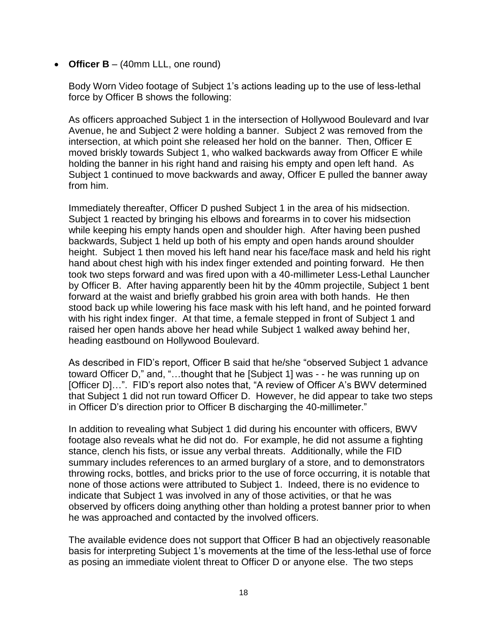• **Officer B** – (40mm LLL, one round)

Body Worn Video footage of Subject 1's actions leading up to the use of less-lethal force by Officer B shows the following:

As officers approached Subject 1 in the intersection of Hollywood Boulevard and Ivar Avenue, he and Subject 2 were holding a banner. Subject 2 was removed from the intersection, at which point she released her hold on the banner. Then, Officer E moved briskly towards Subject 1, who walked backwards away from Officer E while holding the banner in his right hand and raising his empty and open left hand. As Subject 1 continued to move backwards and away, Officer E pulled the banner away from him.

Immediately thereafter, Officer D pushed Subject 1 in the area of his midsection. Subject 1 reacted by bringing his elbows and forearms in to cover his midsection while keeping his empty hands open and shoulder high. After having been pushed backwards, Subject 1 held up both of his empty and open hands around shoulder height. Subject 1 then moved his left hand near his face/face mask and held his right hand about chest high with his index finger extended and pointing forward. He then took two steps forward and was fired upon with a 40-millimeter Less-Lethal Launcher by Officer B. After having apparently been hit by the 40mm projectile, Subject 1 bent forward at the waist and briefly grabbed his groin area with both hands. He then stood back up while lowering his face mask with his left hand, and he pointed forward with his right index finger. At that time, a female stepped in front of Subject 1 and raised her open hands above her head while Subject 1 walked away behind her, heading eastbound on Hollywood Boulevard.

As described in FID's report, Officer B said that he/she "observed Subject 1 advance toward Officer D," and, "…thought that he [Subject 1] was - - he was running up on [Officer D]…". FID's report also notes that, "A review of Officer A's BWV determined that Subject 1 did not run toward Officer D. However, he did appear to take two steps in Officer D's direction prior to Officer B discharging the 40-millimeter."

In addition to revealing what Subject 1 did during his encounter with officers, BWV footage also reveals what he did not do. For example, he did not assume a fighting stance, clench his fists, or issue any verbal threats. Additionally, while the FID summary includes references to an armed burglary of a store, and to demonstrators throwing rocks, bottles, and bricks prior to the use of force occurring, it is notable that none of those actions were attributed to Subject 1. Indeed, there is no evidence to indicate that Subject 1 was involved in any of those activities, or that he was observed by officers doing anything other than holding a protest banner prior to when he was approached and contacted by the involved officers.

The available evidence does not support that Officer B had an objectively reasonable basis for interpreting Subject 1's movements at the time of the less-lethal use of force as posing an immediate violent threat to Officer D or anyone else. The two steps